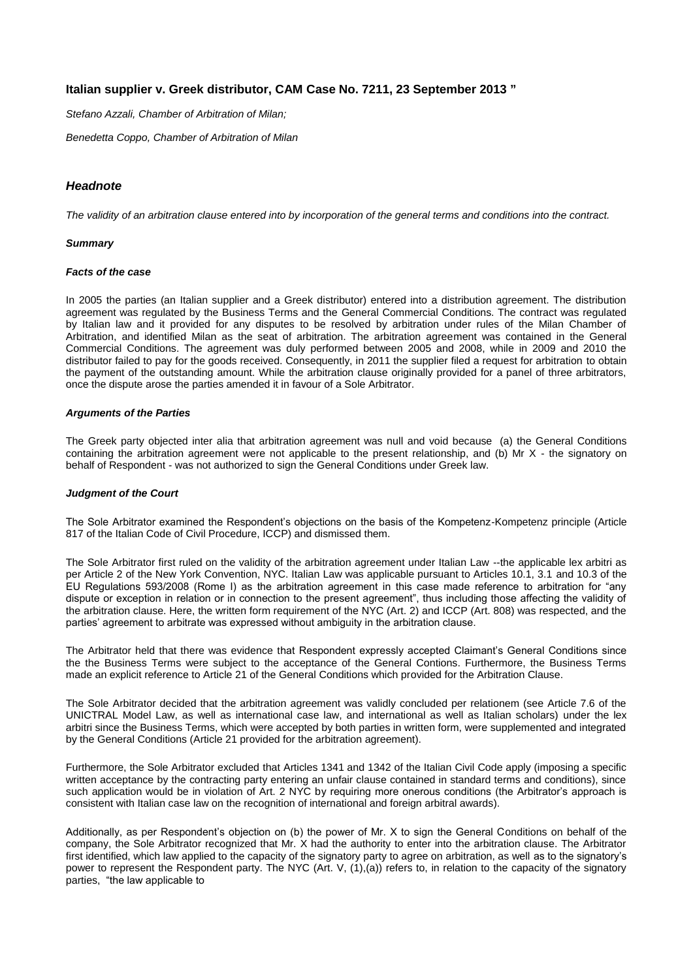# **Italian supplier v. Greek distributor, CAM Case No. 7211, 23 September 2013 "**

*Stefano Azzali, Chamber of Arbitration of Milan;* 

*Benedetta Coppo, Chamber of Arbitration of Milan*

# *Headnote*

*The validity of an arbitration clause entered into by incorporation of the general terms and conditions into the contract.*

#### *Summary*

#### *Facts of the case*

In 2005 the parties (an Italian supplier and a Greek distributor) entered into a distribution agreement. The distribution agreement was regulated by the Business Terms and the General Commercial Conditions. The contract was regulated by Italian law and it provided for any disputes to be resolved by arbitration under rules of the Milan Chamber of Arbitration, and identified Milan as the seat of arbitration. The arbitration agreement was contained in the General Commercial Conditions. The agreement was duly performed between 2005 and 2008, while in 2009 and 2010 the distributor failed to pay for the goods received. Consequently, in 2011 the supplier filed a request for arbitration to obtain the payment of the outstanding amount. While the arbitration clause originally provided for a panel of three arbitrators, once the dispute arose the parties amended it in favour of a Sole Arbitrator.

## *Arguments of the Parties*

The Greek party objected inter alia that arbitration agreement was null and void because (a) the General Conditions containing the arbitration agreement were not applicable to the present relationship, and (b) Mr  $X$  - the signatory on behalf of Respondent - was not authorized to sign the General Conditions under Greek law.

### *Judgment of the Court*

The Sole Arbitrator examined the Respondent's objections on the basis of the Kompetenz-Kompetenz principle (Article 817 of the Italian Code of Civil Procedure, ICCP) and dismissed them.

The Sole Arbitrator first ruled on the validity of the arbitration agreement under Italian Law --the applicable lex arbitri as per Article 2 of the New York Convention, NYC. Italian Law was applicable pursuant to Articles 10.1, 3.1 and 10.3 of the EU Regulations 593/2008 (Rome I) as the arbitration agreement in this case made reference to arbitration for "any dispute or exception in relation or in connection to the present agreement", thus including those affecting the validity of the arbitration clause. Here, the written form requirement of the NYC (Art. 2) and ICCP (Art. 808) was respected, and the parties' agreement to arbitrate was expressed without ambiguity in the arbitration clause.

The Arbitrator held that there was evidence that Respondent expressly accepted Claimant's General Conditions since the the Business Terms were subject to the acceptance of the General Contions. Furthermore, the Business Terms made an explicit reference to Article 21 of the General Conditions which provided for the Arbitration Clause.

The Sole Arbitrator decided that the arbitration agreement was validly concluded per relationem (see Article 7.6 of the UNICTRAL Model Law, as well as international case law, and international as well as Italian scholars) under the lex arbitri since the Business Terms, which were accepted by both parties in written form, were supplemented and integrated by the General Conditions (Article 21 provided for the arbitration agreement).

Furthermore, the Sole Arbitrator excluded that Articles 1341 and 1342 of the Italian Civil Code apply (imposing a specific written acceptance by the contracting party entering an unfair clause contained in standard terms and conditions), since such application would be in violation of Art. 2 NYC by requiring more onerous conditions (the Arbitrator's approach is consistent with Italian case law on the recognition of international and foreign arbitral awards).

Additionally, as per Respondent's objection on (b) the power of Mr. X to sign the General Conditions on behalf of the company, the Sole Arbitrator recognized that Mr. X had the authority to enter into the arbitration clause. The Arbitrator first identified, which law applied to the capacity of the signatory party to agree on arbitration, as well as to the signatory's power to represent the Respondent party. The NYC (Art. V, (1),(a)) refers to, in relation to the capacity of the signatory parties, "the law applicable to